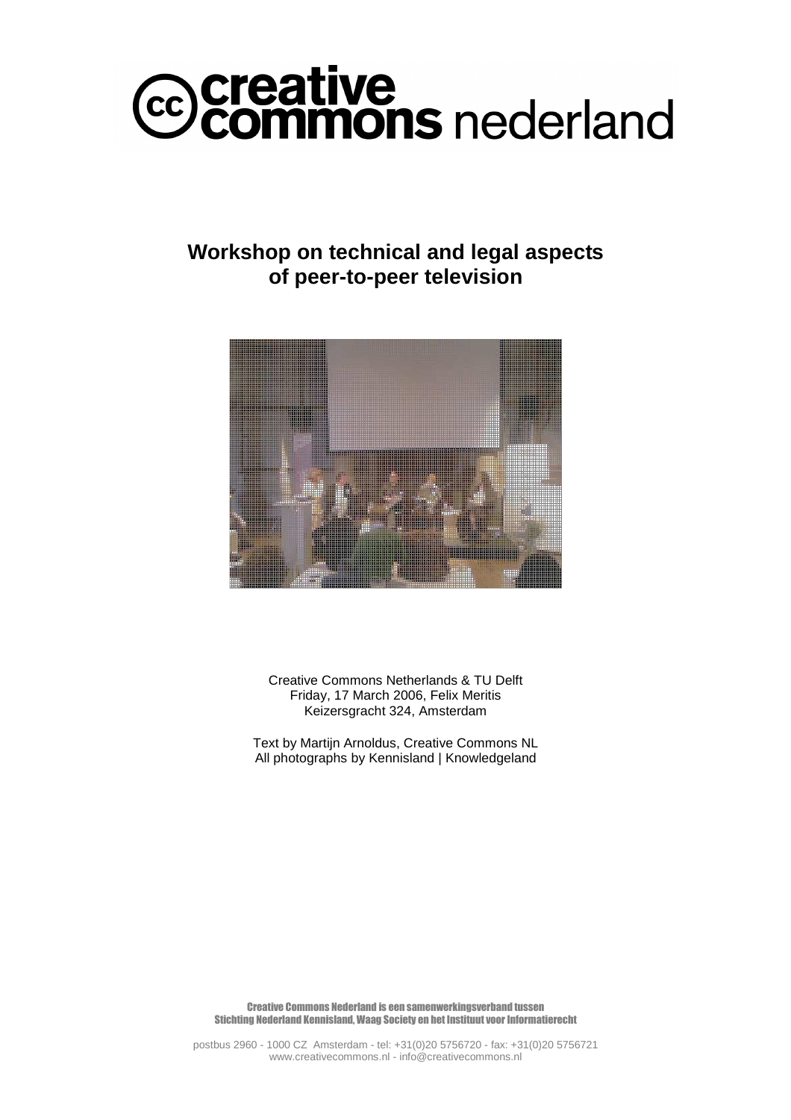# *C* Creative<br>Commons nederland

# **Workshop on technical and legal aspects of peer-to-peer television**



Creative Commons Netherlands & TU Delft Friday, 17 March 2006, Felix Meritis Keizersgracht 324, Amsterdam

Text by Martijn Arnoldus, Creative Commons NL All photographs by Kennisland | Knowledgeland

Creative Commons Nederland is een samenwerkingsverband tussen Stichting Nederland Kennisland, Waag Society en het Instituut voor Informatierecht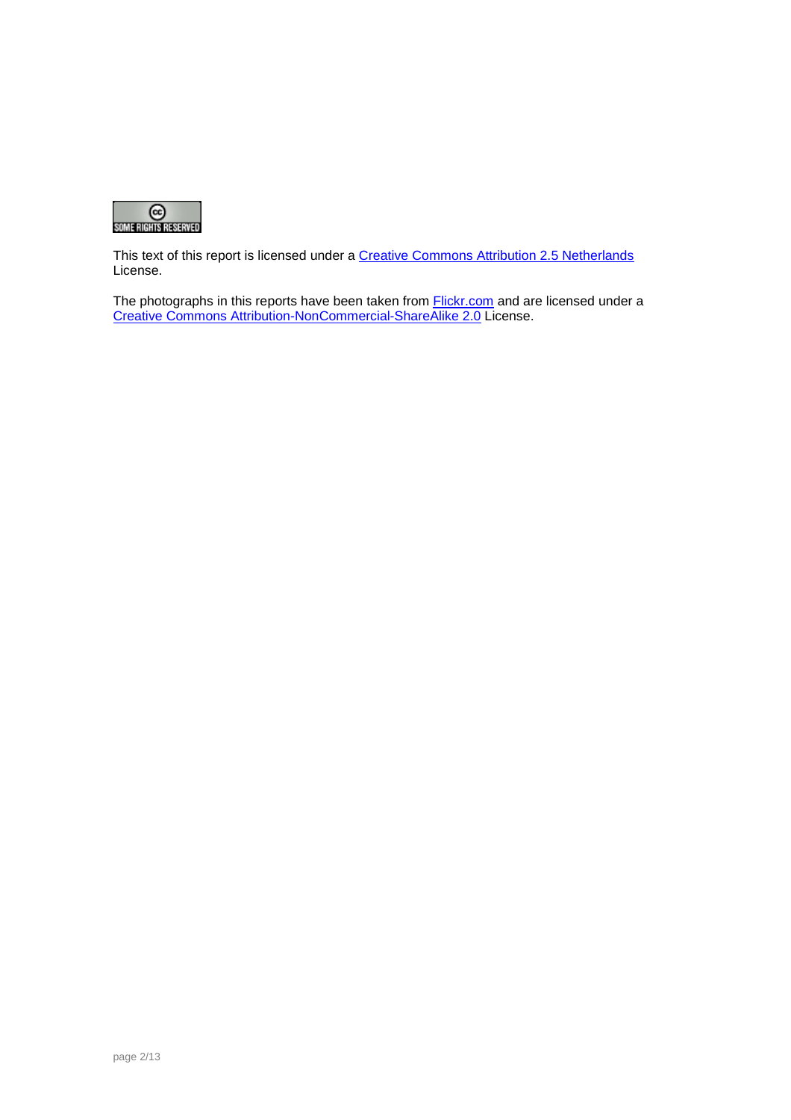

This text of this report is licensed under a Creative Commons Attribution 2.5 Netherlands License.

The photographs in this reports have been taken from **Flickr.com** and are licensed under a Creative Commons Attribution-NonCommercial-ShareAlike 2.0 License.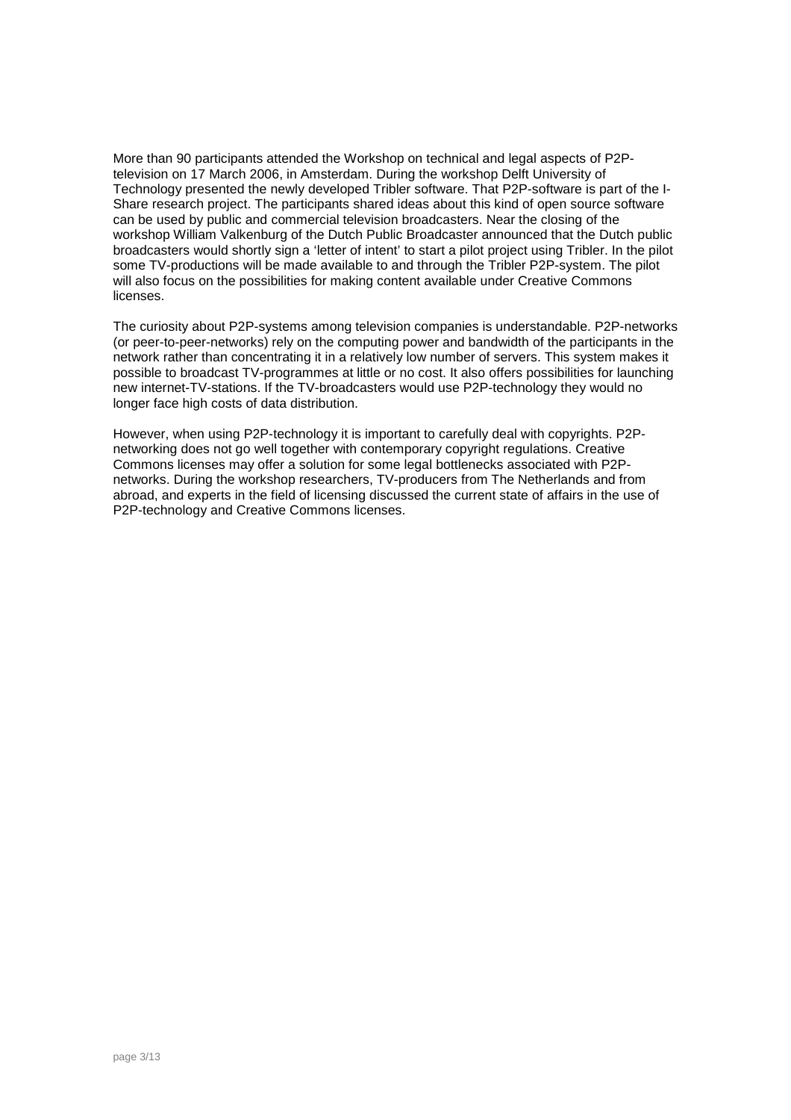More than 90 participants attended the Workshop on technical and legal aspects of P2Ptelevision on 17 March 2006, in Amsterdam. During the workshop Delft University of Technology presented the newly developed Tribler software. That P2P-software is part of the I-Share research project. The participants shared ideas about this kind of open source software can be used by public and commercial television broadcasters. Near the closing of the workshop William Valkenburg of the Dutch Public Broadcaster announced that the Dutch public broadcasters would shortly sign a 'letter of intent' to start a pilot project using Tribler. In the pilot some TV-productions will be made available to and through the Tribler P2P-system. The pilot will also focus on the possibilities for making content available under Creative Commons licenses.

The curiosity about P2P-systems among television companies is understandable. P2P-networks (or peer-to-peer-networks) rely on the computing power and bandwidth of the participants in the network rather than concentrating it in a relatively low number of servers. This system makes it possible to broadcast TV-programmes at little or no cost. It also offers possibilities for launching new internet-TV-stations. If the TV-broadcasters would use P2P-technology they would no longer face high costs of data distribution.

However, when using P2P-technology it is important to carefully deal with copyrights. P2Pnetworking does not go well together with contemporary copyright regulations. Creative Commons licenses may offer a solution for some legal bottlenecks associated with P2Pnetworks. During the workshop researchers, TV-producers from The Netherlands and from abroad, and experts in the field of licensing discussed the current state of affairs in the use of P2P-technology and Creative Commons licenses.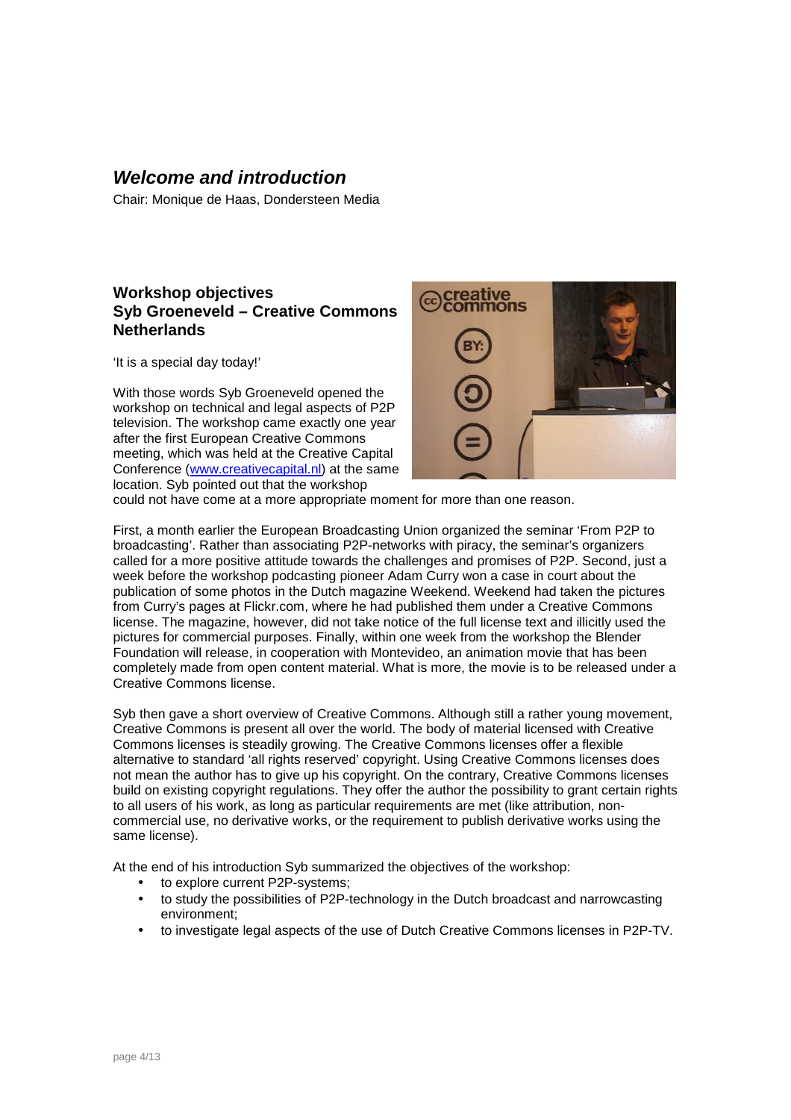# **Welcome and introduction**

Chair: Monique de Haas, Dondersteen Media

#### **Workshop objectives Syb Groeneveld – Creative Commons Netherlands**

'It is a special day today!'

With those words Syb Groeneveld opened the workshop on technical and legal aspects of P2P television. The workshop came exactly one year after the first European Creative Commons meeting, which was held at the Creative Capital Conference (www.creativecapital.nl) at the same location. Syb pointed out that the workshop



could not have come at a more appropriate moment for more than one reason.

First, a month earlier the European Broadcasting Union organized the seminar 'From P2P to broadcasting'. Rather than associating P2P-networks with piracy, the seminar's organizers called for a more positive attitude towards the challenges and promises of P2P. Second, just a week before the workshop podcasting pioneer Adam Curry won a case in court about the publication of some photos in the Dutch magazine Weekend. Weekend had taken the pictures from Curry's pages at Flickr.com, where he had published them under a Creative Commons license. The magazine, however, did not take notice of the full license text and illicitly used the pictures for commercial purposes. Finally, within one week from the workshop the Blender Foundation will release, in cooperation with Montevideo, an animation movie that has been completely made from open content material. What is more, the movie is to be released under a Creative Commons license.

Syb then gave a short overview of Creative Commons. Although still a rather young movement, Creative Commons is present all over the world. The body of material licensed with Creative Commons licenses is steadily growing. The Creative Commons licenses offer a flexible alternative to standard 'all rights reserved' copyright. Using Creative Commons licenses does not mean the author has to give up his copyright. On the contrary, Creative Commons licenses build on existing copyright regulations. They offer the author the possibility to grant certain rights to all users of his work, as long as particular requirements are met (like attribution, noncommercial use, no derivative works, or the requirement to publish derivative works using the same license).

At the end of his introduction Syb summarized the objectives of the workshop:

- to explore current P2P-systems;
- to study the possibilities of P2P-technology in the Dutch broadcast and narrowcasting environment;
- to investigate legal aspects of the use of Dutch Creative Commons licenses in P2P-TV.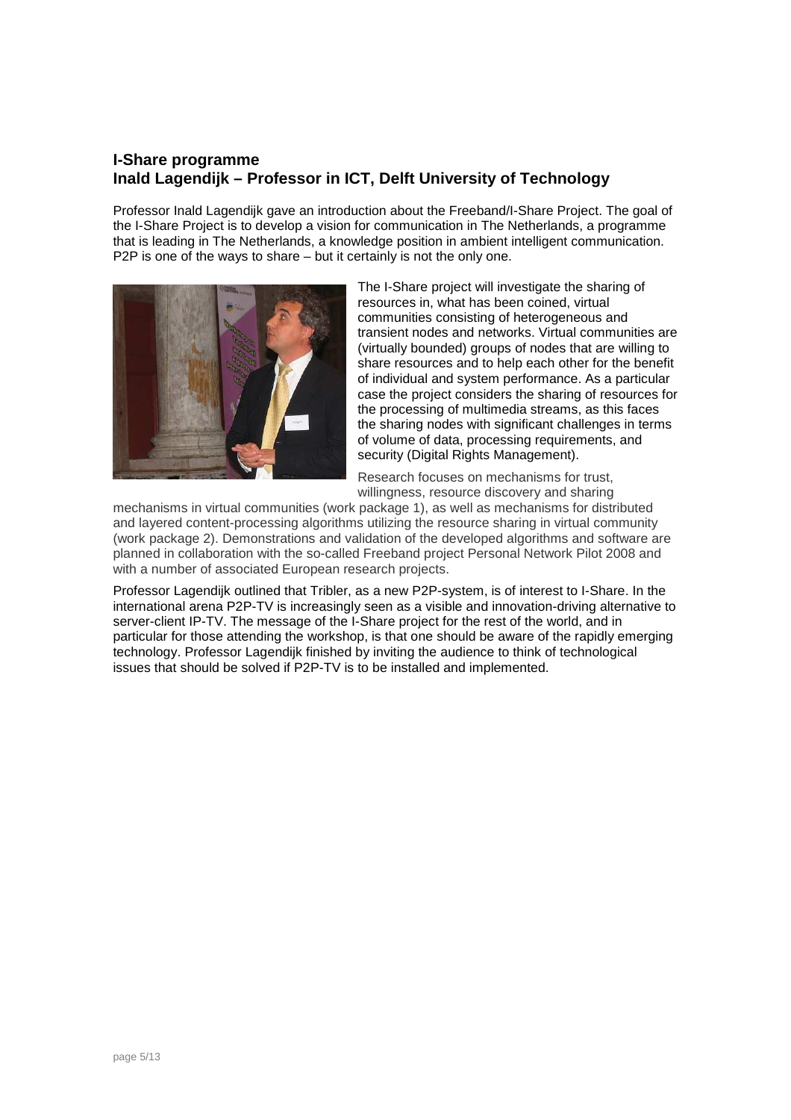#### **I-Share programme Inald Lagendijk – Professor in ICT, Delft University of Technology**

Professor Inald Lagendijk gave an introduction about the Freeband/I-Share Project. The goal of the I-Share Project is to develop a vision for communication in The Netherlands, a programme that is leading in The Netherlands, a knowledge position in ambient intelligent communication. P2P is one of the ways to share – but it certainly is not the only one.



The I-Share project will investigate the sharing of resources in, what has been coined, virtual communities consisting of heterogeneous and transient nodes and networks. Virtual communities are (virtually bounded) groups of nodes that are willing to share resources and to help each other for the benefit of individual and system performance. As a particular case the project considers the sharing of resources for the processing of multimedia streams, as this faces the sharing nodes with significant challenges in terms of volume of data, processing requirements, and security (Digital Rights Management).

Research focuses on mechanisms for trust, willingness, resource discovery and sharing

mechanisms in virtual communities (work package 1), as well as mechanisms for distributed and layered content-processing algorithms utilizing the resource sharing in virtual community (work package 2). Demonstrations and validation of the developed algorithms and software are planned in collaboration with the so-called Freeband project Personal Network Pilot 2008 and with a number of associated European research projects.

Professor Lagendijk outlined that Tribler, as a new P2P-system, is of interest to I-Share. In the international arena P2P-TV is increasingly seen as a visible and innovation-driving alternative to server-client IP-TV. The message of the I-Share project for the rest of the world, and in particular for those attending the workshop, is that one should be aware of the rapidly emerging technology. Professor Lagendijk finished by inviting the audience to think of technological issues that should be solved if P2P-TV is to be installed and implemented.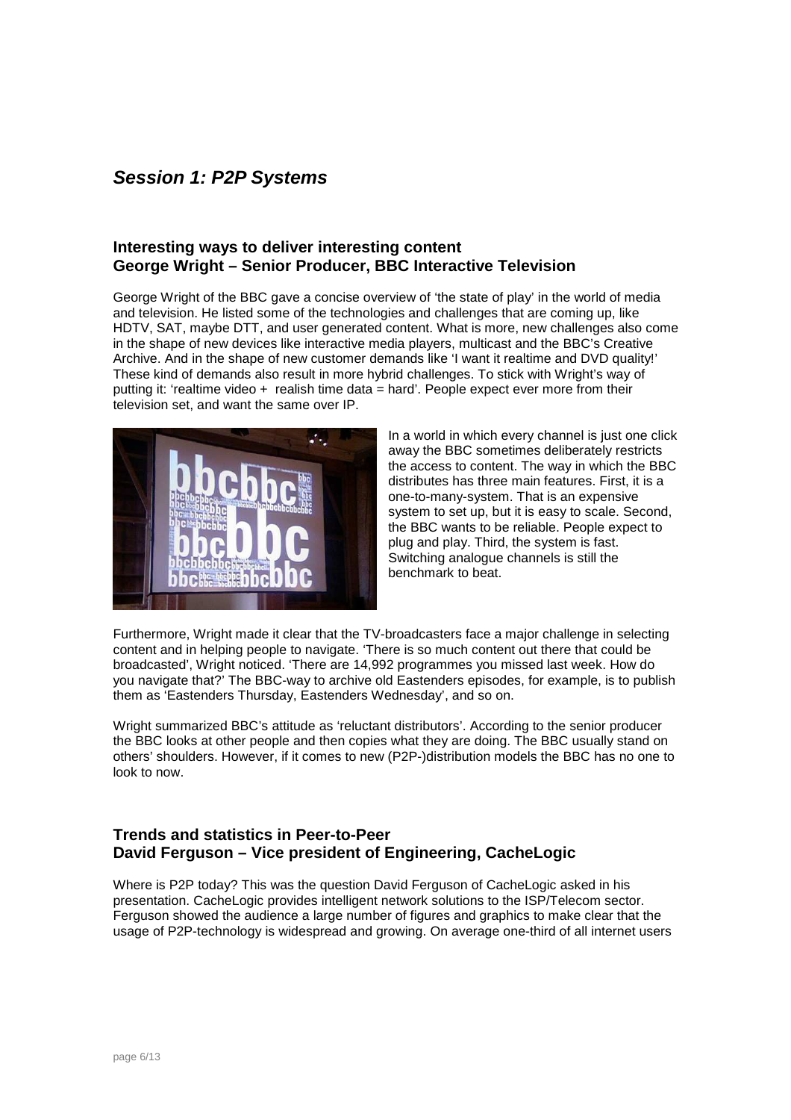# **Session 1: P2P Systems**

#### **Interesting ways to deliver interesting content George Wright – Senior Producer, BBC Interactive Television**

George Wright of the BBC gave a concise overview of 'the state of play' in the world of media and television. He listed some of the technologies and challenges that are coming up, like HDTV, SAT, maybe DTT, and user generated content. What is more, new challenges also come in the shape of new devices like interactive media players, multicast and the BBC's Creative Archive. And in the shape of new customer demands like 'I want it realtime and DVD quality!' These kind of demands also result in more hybrid challenges. To stick with Wright's way of putting it: 'realtime video + realish time data = hard'. People expect ever more from their television set, and want the same over IP.



In a world in which every channel is just one click away the BBC sometimes deliberately restricts the access to content. The way in which the BBC distributes has three main features. First, it is a one-to-many-system. That is an expensive system to set up, but it is easy to scale. Second, the BBC wants to be reliable. People expect to plug and play. Third, the system is fast. Switching analogue channels is still the benchmark to beat.

Furthermore, Wright made it clear that the TV-broadcasters face a major challenge in selecting content and in helping people to navigate. 'There is so much content out there that could be broadcasted', Wright noticed. 'There are 14,992 programmes you missed last week. How do you navigate that?' The BBC-way to archive old Eastenders episodes, for example, is to publish them as 'Eastenders Thursday, Eastenders Wednesday', and so on.

Wright summarized BBC's attitude as 'reluctant distributors'. According to the senior producer the BBC looks at other people and then copies what they are doing. The BBC usually stand on others' shoulders. However, if it comes to new (P2P-)distribution models the BBC has no one to look to now.

#### **Trends and statistics in Peer-to-Peer David Ferguson – Vice president of Engineering, CacheLogic**

Where is P2P today? This was the question David Ferguson of CacheLogic asked in his presentation. CacheLogic provides intelligent network solutions to the ISP/Telecom sector. Ferguson showed the audience a large number of figures and graphics to make clear that the usage of P2P-technology is widespread and growing. On average one-third of all internet users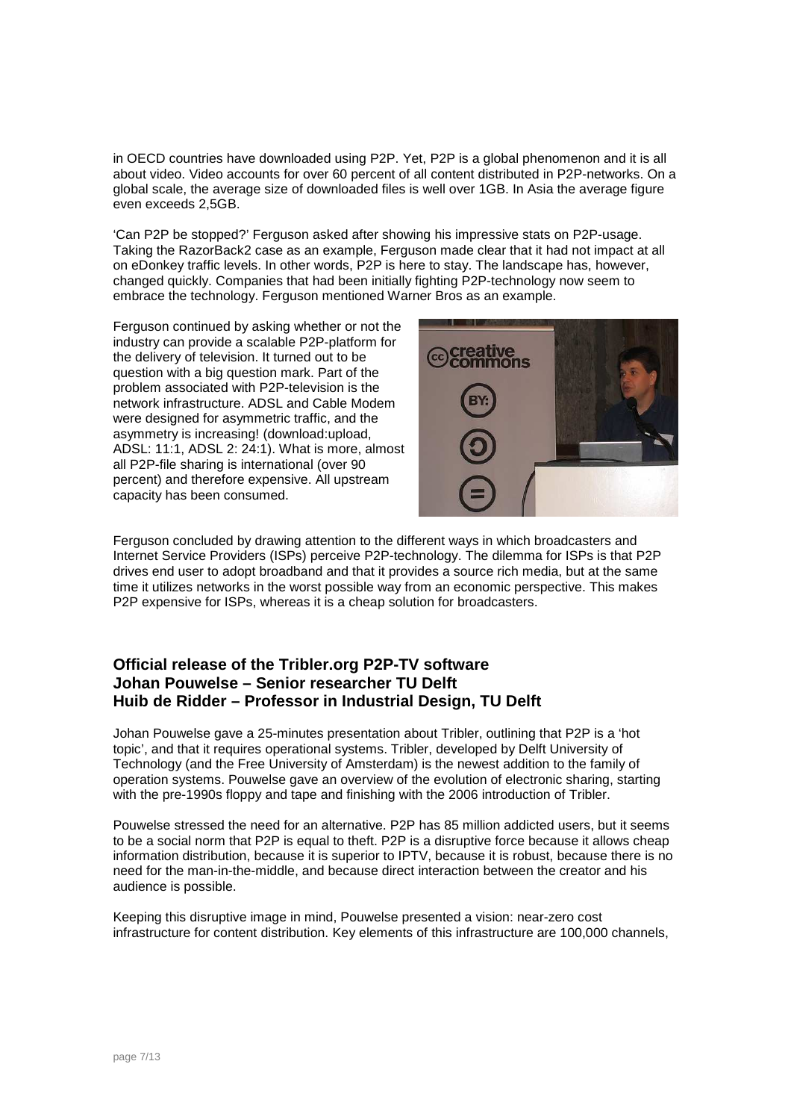in OECD countries have downloaded using P2P. Yet, P2P is a global phenomenon and it is all about video. Video accounts for over 60 percent of all content distributed in P2P-networks. On a global scale, the average size of downloaded files is well over 1GB. In Asia the average figure even exceeds 2,5GB.

'Can P2P be stopped?' Ferguson asked after showing his impressive stats on P2P-usage. Taking the RazorBack2 case as an example, Ferguson made clear that it had not impact at all on eDonkey traffic levels. In other words, P2P is here to stay. The landscape has, however, changed quickly. Companies that had been initially fighting P2P-technology now seem to embrace the technology. Ferguson mentioned Warner Bros as an example.

Ferguson continued by asking whether or not the industry can provide a scalable P2P-platform for the delivery of television. It turned out to be question with a big question mark. Part of the problem associated with P2P-television is the network infrastructure. ADSL and Cable Modem were designed for asymmetric traffic, and the asymmetry is increasing! (download:upload, ADSL: 11:1, ADSL 2: 24:1). What is more, almost all P2P-file sharing is international (over 90 percent) and therefore expensive. All upstream capacity has been consumed.



Ferguson concluded by drawing attention to the different ways in which broadcasters and Internet Service Providers (ISPs) perceive P2P-technology. The dilemma for ISPs is that P2P drives end user to adopt broadband and that it provides a source rich media, but at the same time it utilizes networks in the worst possible way from an economic perspective. This makes P2P expensive for ISPs, whereas it is a cheap solution for broadcasters.

#### **Official release of the Tribler.org P2P-TV software Johan Pouwelse – Senior researcher TU Delft Huib de Ridder – Professor in Industrial Design, TU Delft**

Johan Pouwelse gave a 25-minutes presentation about Tribler, outlining that P2P is a 'hot topic', and that it requires operational systems. Tribler, developed by Delft University of Technology (and the Free University of Amsterdam) is the newest addition to the family of operation systems. Pouwelse gave an overview of the evolution of electronic sharing, starting with the pre-1990s floppy and tape and finishing with the 2006 introduction of Tribler.

Pouwelse stressed the need for an alternative. P2P has 85 million addicted users, but it seems to be a social norm that P2P is equal to theft. P2P is a disruptive force because it allows cheap information distribution, because it is superior to IPTV, because it is robust, because there is no need for the man-in-the-middle, and because direct interaction between the creator and his audience is possible.

Keeping this disruptive image in mind, Pouwelse presented a vision: near-zero cost infrastructure for content distribution. Key elements of this infrastructure are 100,000 channels,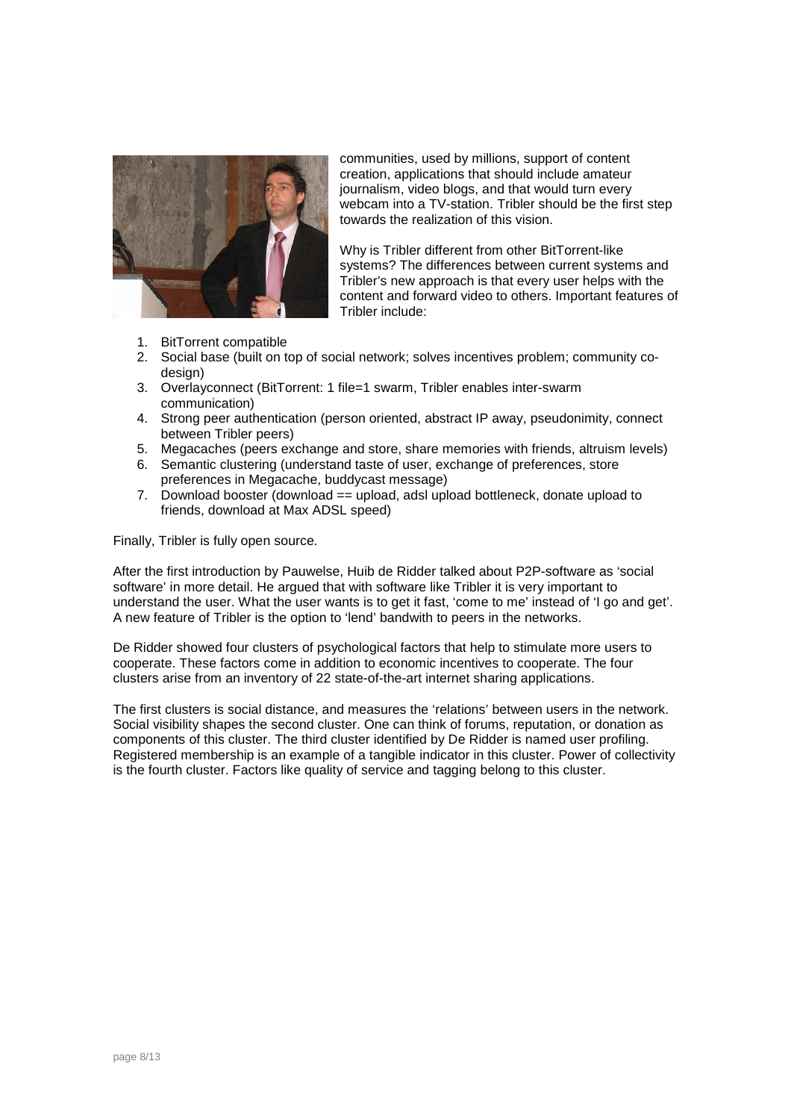

communities, used by millions, support of content creation, applications that should include amateur journalism, video blogs, and that would turn every webcam into a TV-station. Tribler should be the first step towards the realization of this vision.

Why is Tribler different from other BitTorrent-like systems? The differences between current systems and Tribler's new approach is that every user helps with the content and forward video to others. Important features of Tribler include:

- 1. BitTorrent compatible
- 2. Social base (built on top of social network; solves incentives problem; community codesign)
- 3. Overlayconnect (BitTorrent: 1 file=1 swarm, Tribler enables inter-swarm communication)
- 4. Strong peer authentication (person oriented, abstract IP away, pseudonimity, connect between Tribler peers)
- 5. Megacaches (peers exchange and store, share memories with friends, altruism levels)
- 6. Semantic clustering (understand taste of user, exchange of preferences, store preferences in Megacache, buddycast message)
- 7. Download booster (download == upload, adsl upload bottleneck, donate upload to friends, download at Max ADSL speed)

Finally, Tribler is fully open source.

After the first introduction by Pauwelse, Huib de Ridder talked about P2P-software as 'social software' in more detail. He argued that with software like Tribler it is very important to understand the user. What the user wants is to get it fast, 'come to me' instead of 'I go and get'. A new feature of Tribler is the option to 'lend' bandwith to peers in the networks.

De Ridder showed four clusters of psychological factors that help to stimulate more users to cooperate. These factors come in addition to economic incentives to cooperate. The four clusters arise from an inventory of 22 state-of-the-art internet sharing applications.

The first clusters is social distance, and measures the 'relations' between users in the network. Social visibility shapes the second cluster. One can think of forums, reputation, or donation as components of this cluster. The third cluster identified by De Ridder is named user profiling. Registered membership is an example of a tangible indicator in this cluster. Power of collectivity is the fourth cluster. Factors like quality of service and tagging belong to this cluster.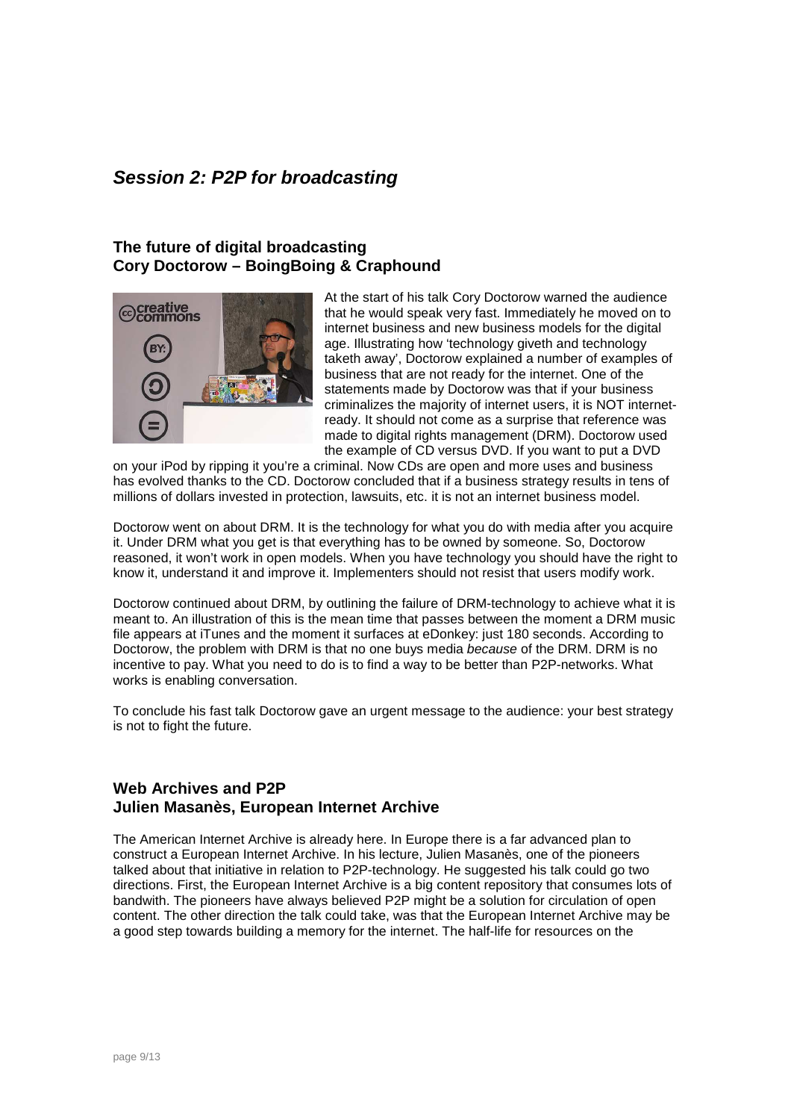# **Session 2: P2P for broadcasting**

#### **The future of digital broadcasting Cory Doctorow – BoingBoing & Craphound**



At the start of his talk Cory Doctorow warned the audience that he would speak very fast. Immediately he moved on to internet business and new business models for the digital age. Illustrating how 'technology giveth and technology taketh away', Doctorow explained a number of examples of business that are not ready for the internet. One of the statements made by Doctorow was that if your business criminalizes the majority of internet users, it is NOT internetready. It should not come as a surprise that reference was made to digital rights management (DRM). Doctorow used the example of CD versus DVD. If you want to put a DVD

on your iPod by ripping it you're a criminal. Now CDs are open and more uses and business has evolved thanks to the CD. Doctorow concluded that if a business strategy results in tens of millions of dollars invested in protection, lawsuits, etc. it is not an internet business model.

Doctorow went on about DRM. It is the technology for what you do with media after you acquire it. Under DRM what you get is that everything has to be owned by someone. So, Doctorow reasoned, it won't work in open models. When you have technology you should have the right to know it, understand it and improve it. Implementers should not resist that users modify work.

Doctorow continued about DRM, by outlining the failure of DRM-technology to achieve what it is meant to. An illustration of this is the mean time that passes between the moment a DRM music file appears at iTunes and the moment it surfaces at eDonkey: just 180 seconds. According to Doctorow, the problem with DRM is that no one buys media *because* of the DRM. DRM is no incentive to pay. What you need to do is to find a way to be better than P2P-networks. What works is enabling conversation.

To conclude his fast talk Doctorow gave an urgent message to the audience: your best strategy is not to fight the future.

#### **Web Archives and P2P Julien Masanès, European Internet Archive**

The American Internet Archive is already here. In Europe there is a far advanced plan to construct a European Internet Archive. In his lecture, Julien Masanès, one of the pioneers talked about that initiative in relation to P2P-technology. He suggested his talk could go two directions. First, the European Internet Archive is a big content repository that consumes lots of bandwith. The pioneers have always believed P2P might be a solution for circulation of open content. The other direction the talk could take, was that the European Internet Archive may be a good step towards building a memory for the internet. The half-life for resources on the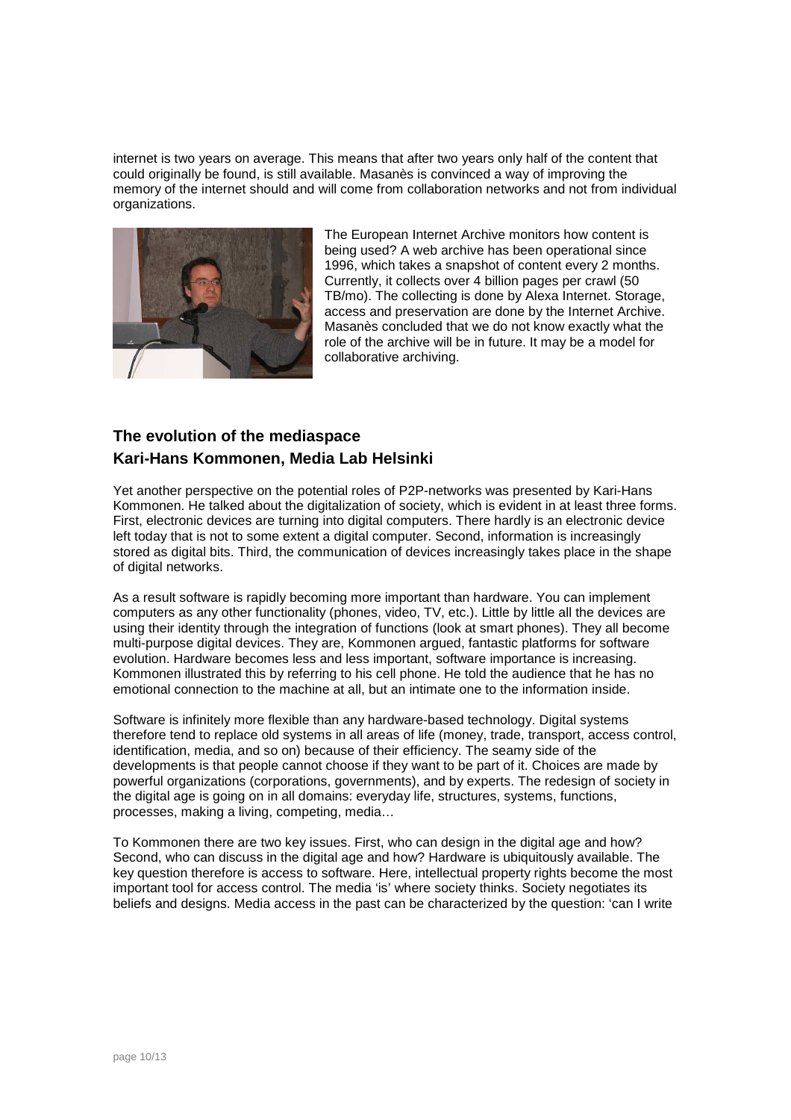internet is two years on average. This means that after two years only half of the content that could originally be found, is still available. Masanès is convinced a way of improving the memory of the internet should and will come from collaboration networks and not from individual organizations.



The European Internet Archive monitors how content is being used? A web archive has been operational since 1996, which takes a snapshot of content every 2 months. Currently, it collects over 4 billion pages per crawl (50 TB/mo). The collecting is done by Alexa Internet. Storage, access and preservation are done by the Internet Archive. Masanès concluded that we do not know exactly what the role of the archive will be in future. It may be a model for collaborative archiving.

## **The evolution of the mediaspace Kari-Hans Kommonen, Media Lab Helsinki**

Yet another perspective on the potential roles of P2P-networks was presented by Kari-Hans Kommonen. He talked about the digitalization of society, which is evident in at least three forms. First, electronic devices are turning into digital computers. There hardly is an electronic device left today that is not to some extent a digital computer. Second, information is increasingly stored as digital bits. Third, the communication of devices increasingly takes place in the shape of digital networks.

As a result software is rapidly becoming more important than hardware. You can implement computers as any other functionality (phones, video, TV, etc.). Little by little all the devices are using their identity through the integration of functions (look at smart phones). They all become multi-purpose digital devices. They are, Kommonen argued, fantastic platforms for software evolution. Hardware becomes less and less important, software importance is increasing. Kommonen illustrated this by referring to his cell phone. He told the audience that he has no emotional connection to the machine at all, but an intimate one to the information inside.

Software is infinitely more flexible than any hardware-based technology. Digital systems therefore tend to replace old systems in all areas of life (money, trade, transport, access control, identification, media, and so on) because of their efficiency. The seamy side of the developments is that people cannot choose if they want to be part of it. Choices are made by powerful organizations (corporations, governments), and by experts. The redesign of society in the digital age is going on in all domains: everyday life, structures, systems, functions, processes, making a living, competing, media…

To Kommonen there are two key issues. First, who can design in the digital age and how? Second, who can discuss in the digital age and how? Hardware is ubiquitously available. The key question therefore is access to software. Here, intellectual property rights become the most important tool for access control. The media 'is' where society thinks. Society negotiates its beliefs and designs. Media access in the past can be characterized by the question: 'can I write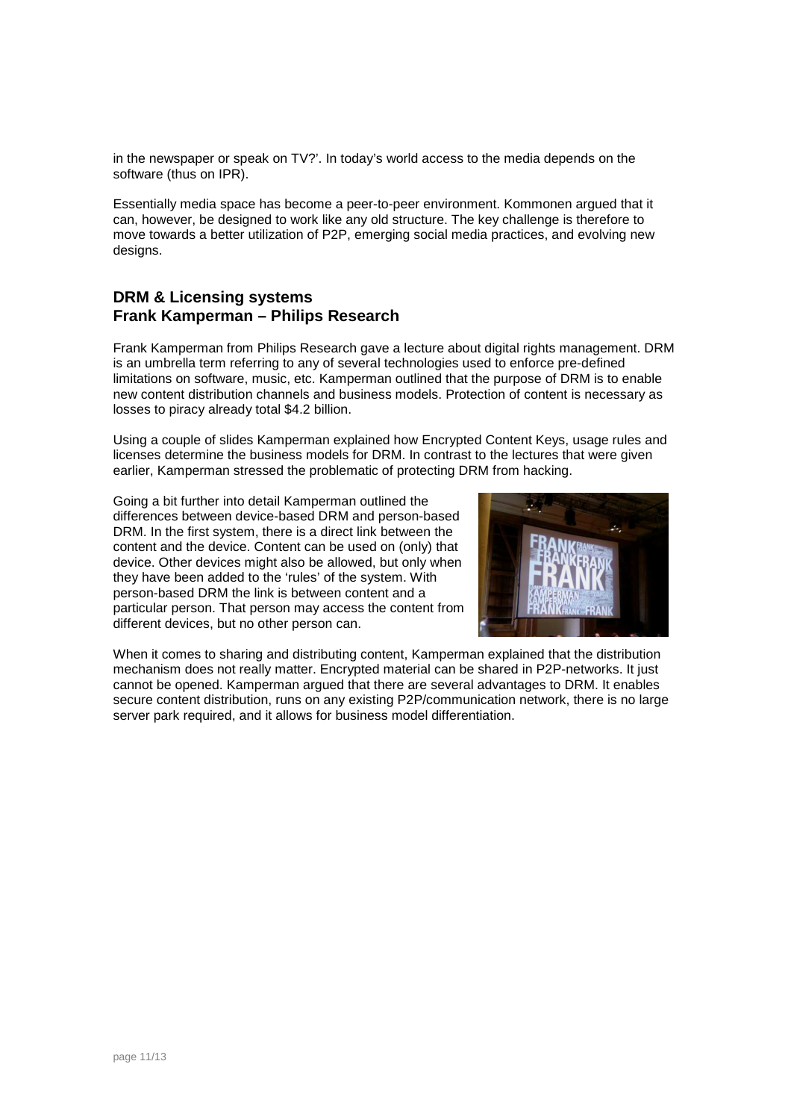in the newspaper or speak on TV?'. In today's world access to the media depends on the software (thus on IPR).

Essentially media space has become a peer-to-peer environment. Kommonen argued that it can, however, be designed to work like any old structure. The key challenge is therefore to move towards a better utilization of P2P, emerging social media practices, and evolving new designs.

#### **DRM & Licensing systems Frank Kamperman – Philips Research**

Frank Kamperman from Philips Research gave a lecture about digital rights management. DRM is an umbrella term referring to any of several technologies used to enforce pre-defined limitations on software, music, etc. Kamperman outlined that the purpose of DRM is to enable new content distribution channels and business models. Protection of content is necessary as losses to piracy already total \$4.2 billion.

Using a couple of slides Kamperman explained how Encrypted Content Keys, usage rules and licenses determine the business models for DRM. In contrast to the lectures that were given earlier, Kamperman stressed the problematic of protecting DRM from hacking.

Going a bit further into detail Kamperman outlined the differences between device-based DRM and person-based DRM. In the first system, there is a direct link between the content and the device. Content can be used on (only) that device. Other devices might also be allowed, but only when they have been added to the 'rules' of the system. With person-based DRM the link is between content and a particular person. That person may access the content from different devices, but no other person can.



When it comes to sharing and distributing content, Kamperman explained that the distribution mechanism does not really matter. Encrypted material can be shared in P2P-networks. It just cannot be opened. Kamperman argued that there are several advantages to DRM. It enables secure content distribution, runs on any existing P2P/communication network, there is no large server park required, and it allows for business model differentiation.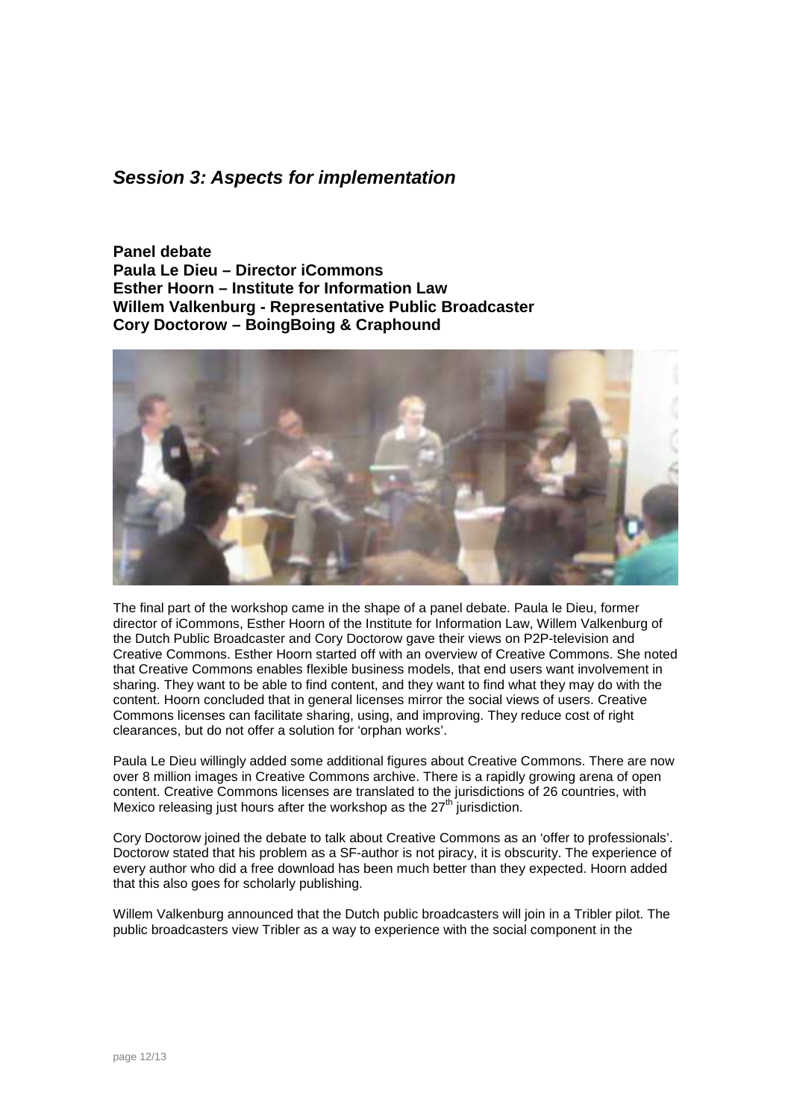## **Session 3: Aspects for implementation**

**Panel debate Paula Le Dieu – Director iCommons Esther Hoorn – Institute for Information Law Willem Valkenburg - Representative Public Broadcaster Cory Doctorow – BoingBoing & Craphound** 



The final part of the workshop came in the shape of a panel debate. Paula le Dieu, former director of iCommons, Esther Hoorn of the Institute for Information Law, Willem Valkenburg of the Dutch Public Broadcaster and Cory Doctorow gave their views on P2P-television and Creative Commons. Esther Hoorn started off with an overview of Creative Commons. She noted that Creative Commons enables flexible business models, that end users want involvement in sharing. They want to be able to find content, and they want to find what they may do with the content. Hoorn concluded that in general licenses mirror the social views of users. Creative Commons licenses can facilitate sharing, using, and improving. They reduce cost of right clearances, but do not offer a solution for 'orphan works'.

Paula Le Dieu willingly added some additional figures about Creative Commons. There are now over 8 million images in Creative Commons archive. There is a rapidly growing arena of open content. Creative Commons licenses are translated to the jurisdictions of 26 countries, with Mexico releasing just hours after the workshop as the  $27<sup>th</sup>$  jurisdiction.

Cory Doctorow joined the debate to talk about Creative Commons as an 'offer to professionals'. Doctorow stated that his problem as a SF-author is not piracy, it is obscurity. The experience of every author who did a free download has been much better than they expected. Hoorn added that this also goes for scholarly publishing.

Willem Valkenburg announced that the Dutch public broadcasters will join in a Tribler pilot. The public broadcasters view Tribler as a way to experience with the social component in the